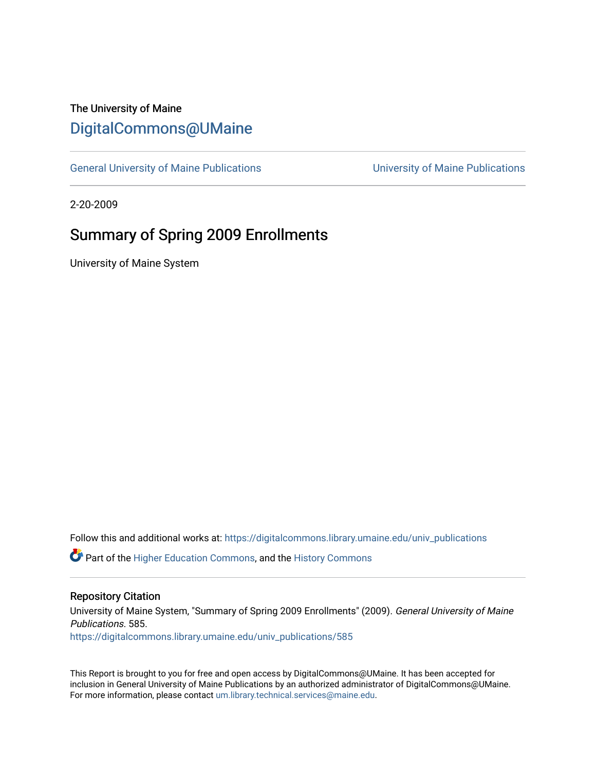# The University of Maine [DigitalCommons@UMaine](https://digitalcommons.library.umaine.edu/)

[General University of Maine Publications](https://digitalcommons.library.umaine.edu/univ_publications) [University of Maine Publications](https://digitalcommons.library.umaine.edu/umaine_publications) 

2-20-2009

# Summary of Spring 2009 Enrollments

University of Maine System

Follow this and additional works at: [https://digitalcommons.library.umaine.edu/univ\\_publications](https://digitalcommons.library.umaine.edu/univ_publications?utm_source=digitalcommons.library.umaine.edu%2Funiv_publications%2F585&utm_medium=PDF&utm_campaign=PDFCoverPages) 

**C** Part of the [Higher Education Commons,](http://network.bepress.com/hgg/discipline/1245?utm_source=digitalcommons.library.umaine.edu%2Funiv_publications%2F585&utm_medium=PDF&utm_campaign=PDFCoverPages) and the [History Commons](http://network.bepress.com/hgg/discipline/489?utm_source=digitalcommons.library.umaine.edu%2Funiv_publications%2F585&utm_medium=PDF&utm_campaign=PDFCoverPages)

#### Repository Citation

University of Maine System, "Summary of Spring 2009 Enrollments" (2009). General University of Maine Publications. 585. [https://digitalcommons.library.umaine.edu/univ\\_publications/585](https://digitalcommons.library.umaine.edu/univ_publications/585?utm_source=digitalcommons.library.umaine.edu%2Funiv_publications%2F585&utm_medium=PDF&utm_campaign=PDFCoverPages) 

This Report is brought to you for free and open access by DigitalCommons@UMaine. It has been accepted for inclusion in General University of Maine Publications by an authorized administrator of DigitalCommons@UMaine. For more information, please contact [um.library.technical.services@maine.edu](mailto:um.library.technical.services@maine.edu).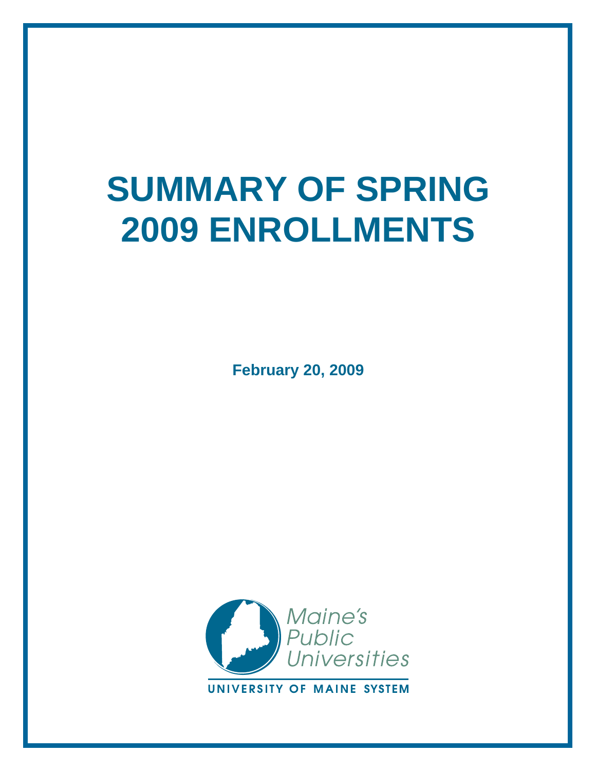# **SUMMARY OF SPRING 2009 ENROLLMENTS**

**February 20, 2009**

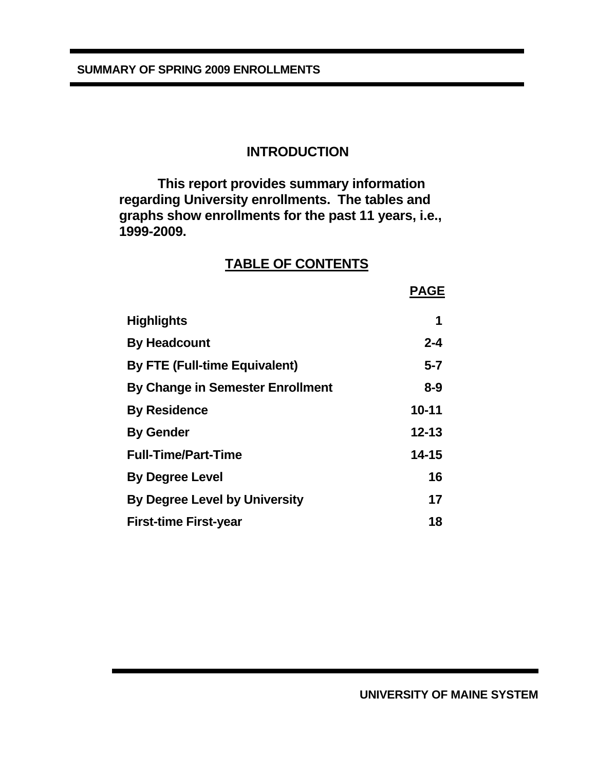#### **INTRODUCTION**

 **This report provides summary information regarding University enrollments. The tables and graphs show enrollments for the past 11 years, i.e., 1999-2009.** 

#### **TABLE OF CONTENTS**

|                                         | <b>PAGE</b> |
|-----------------------------------------|-------------|
| Highlights                              | 1           |
| <b>By Headcount</b>                     | $2 - 4$     |
| <b>By FTE (Full-time Equivalent)</b>    | $5 - 7$     |
| <b>By Change in Semester Enrollment</b> | $8 - 9$     |
| <b>By Residence</b>                     | $10 - 11$   |
| <b>By Gender</b>                        | $12 - 13$   |
| <b>Full-Time/Part-Time</b>              | $14 - 15$   |
| <b>By Degree Level</b>                  | 16          |
| <b>By Degree Level by University</b>    | 17          |
| <b>First-time First-year</b>            | 18          |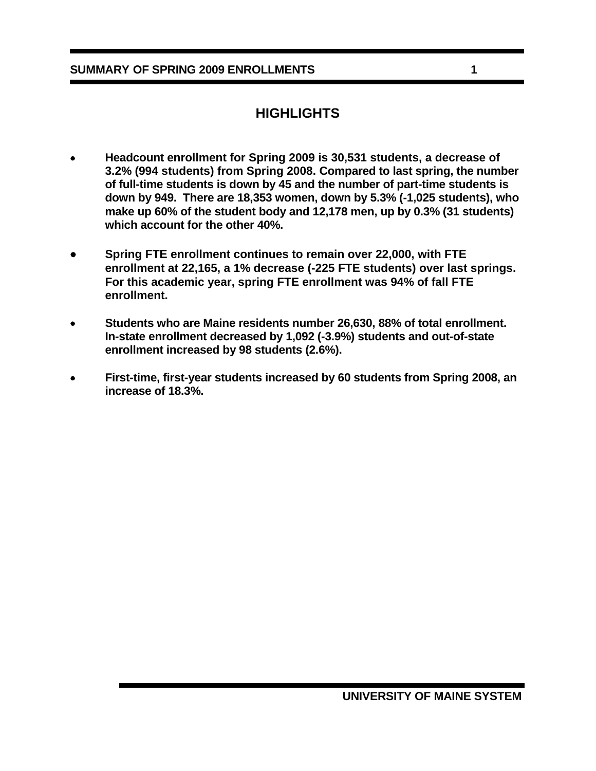#### **SUMMARY OF SPRING 2009 ENROLLMENTS 1**

#### **HIGHLIGHTS**

- • **Headcount enrollment for Spring 2009 is 30,531 students, a decrease of 3.2% (994 students) from Spring 2008. Compared to last spring, the number of full-time students is down by 45 and the number of part-time students is down by 949. There are 18,353 women, down by 5.3% (-1,025 students), who make up 60% of the student body and 12,178 men, up by 0.3% (31 students) which account for the other 40%.**
- **Spring FTE enrollment continues to remain over 22,000, with FTE enrollment at 22,165, a 1% decrease (-225 FTE students) over last springs. For this academic year, spring FTE enrollment was 94% of fall FTE enrollment.**
- • **Students who are Maine residents number 26,630, 88% of total enrollment. In-state enrollment decreased by 1,092 (-3.9%) students and out-of-state enrollment increased by 98 students (2.6%).**
- • **First-time, first-year students increased by 60 students from Spring 2008, an increase of 18.3%.**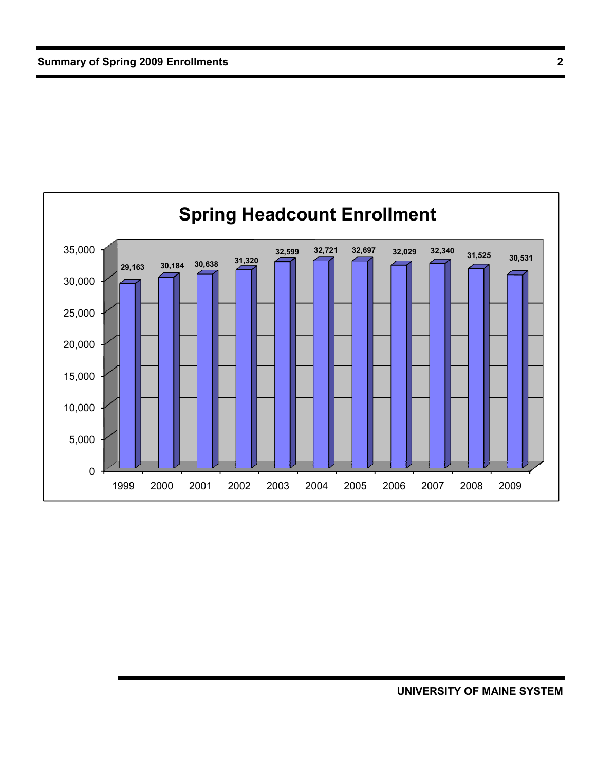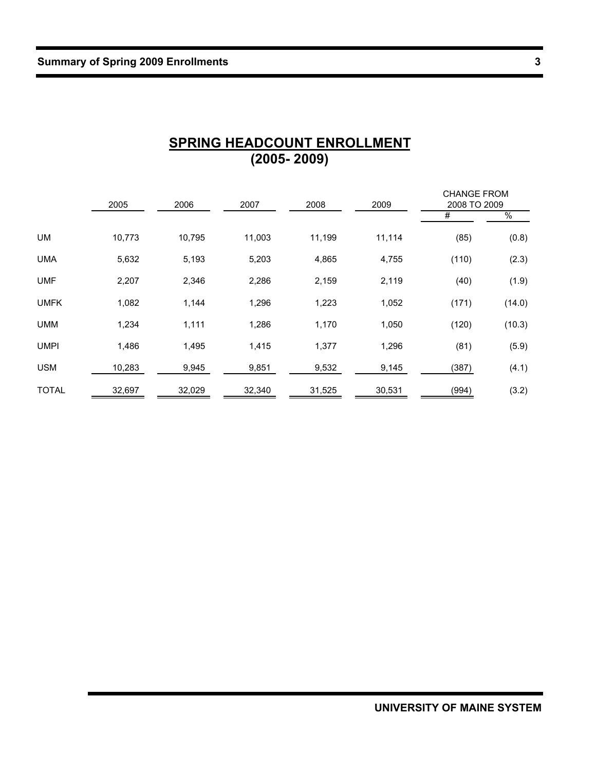|              | 2005   | 2006   | 2007   | 2008   | 2009   | <b>CHANGE FROM</b><br>2008 TO 2009 |        |
|--------------|--------|--------|--------|--------|--------|------------------------------------|--------|
|              |        |        |        |        |        | #                                  | $\%$   |
| UM           | 10,773 | 10,795 | 11,003 | 11,199 | 11,114 | (85)                               | (0.8)  |
| <b>UMA</b>   | 5,632  | 5,193  | 5,203  | 4,865  | 4,755  | (110)                              | (2.3)  |
| <b>UMF</b>   | 2,207  | 2,346  | 2,286  | 2,159  | 2,119  | (40)                               | (1.9)  |
| <b>UMFK</b>  | 1,082  | 1,144  | 1,296  | 1,223  | 1,052  | (171)                              | (14.0) |
| <b>UMM</b>   | 1,234  | 1,111  | 1,286  | 1,170  | 1,050  | (120)                              | (10.3) |
| <b>UMPI</b>  | 1,486  | 1,495  | 1,415  | 1,377  | 1,296  | (81)                               | (5.9)  |
| <b>USM</b>   | 10,283 | 9,945  | 9,851  | 9,532  | 9,145  | (387)                              | (4.1)  |
| <b>TOTAL</b> | 32,697 | 32,029 | 32,340 | 31,525 | 30,531 | (994)                              | (3.2)  |

#### **SPRING HEADCOUNT ENROLLMENT (2005- 2009)**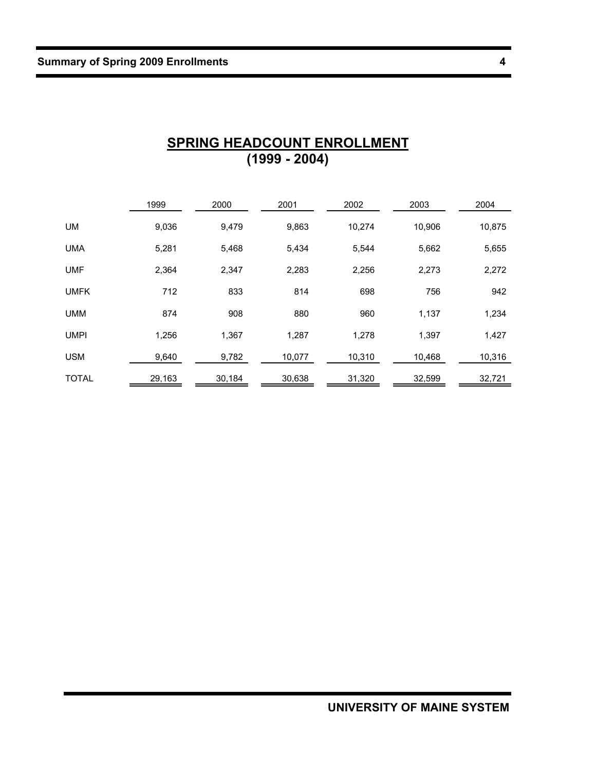|              | 1999   | 2000   | 2001   | 2002   | 2003   | 2004   |
|--------------|--------|--------|--------|--------|--------|--------|
| <b>UM</b>    | 9,036  | 9,479  | 9,863  | 10,274 | 10,906 | 10,875 |
| <b>UMA</b>   | 5,281  | 5,468  | 5,434  | 5,544  | 5,662  | 5,655  |
| <b>UMF</b>   | 2,364  | 2,347  | 2,283  | 2,256  | 2,273  | 2,272  |
| <b>UMFK</b>  | 712    | 833    | 814    | 698    | 756    | 942    |
| <b>UMM</b>   | 874    | 908    | 880    | 960    | 1,137  | 1,234  |
| <b>UMPI</b>  | 1,256  | 1,367  | 1,287  | 1,278  | 1,397  | 1,427  |
| <b>USM</b>   | 9,640  | 9,782  | 10,077 | 10,310 | 10,468 | 10,316 |
| <b>TOTAL</b> | 29,163 | 30,184 | 30,638 | 31,320 | 32,599 | 32,721 |

#### **SPRING HEADCOUNT ENROLLMENT (1999 - 2004)**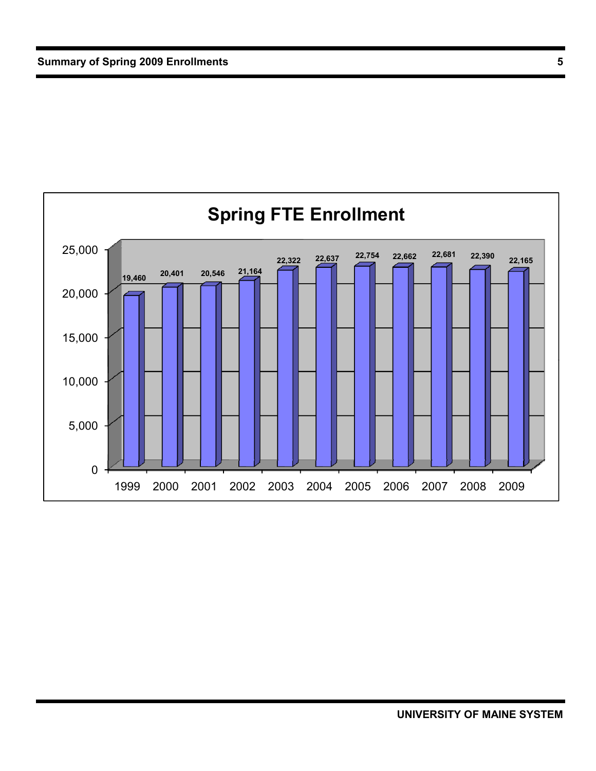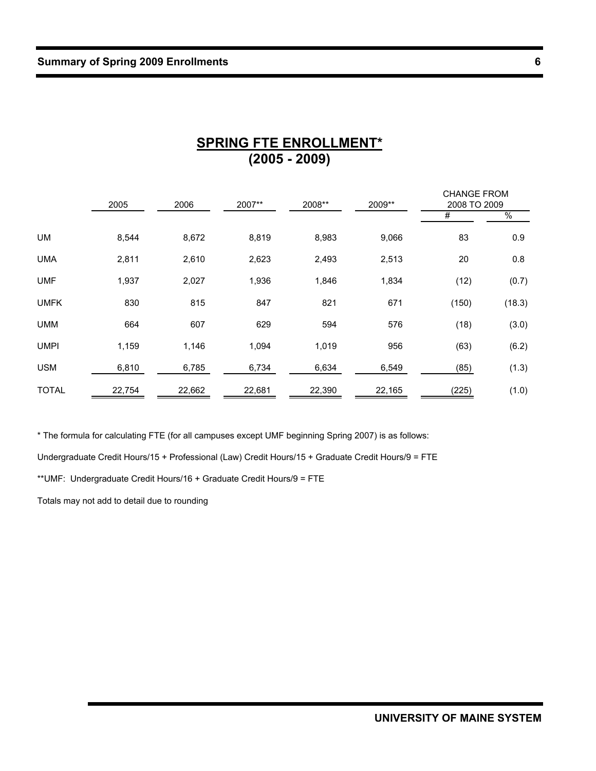|              | 2005   | 2006   | 2007** | 2008** | 2009** | <b>CHANGE FROM</b><br>2008 TO 2009 |        |
|--------------|--------|--------|--------|--------|--------|------------------------------------|--------|
|              |        |        |        |        |        | #                                  | $\%$   |
| UM           | 8,544  | 8,672  | 8,819  | 8,983  | 9,066  | 83                                 | 0.9    |
| <b>UMA</b>   | 2,811  | 2,610  | 2,623  | 2,493  | 2,513  | 20                                 | 0.8    |
| <b>UMF</b>   | 1,937  | 2,027  | 1,936  | 1,846  | 1,834  | (12)                               | (0.7)  |
| <b>UMFK</b>  | 830    | 815    | 847    | 821    | 671    | (150)                              | (18.3) |
| <b>UMM</b>   | 664    | 607    | 629    | 594    | 576    | (18)                               | (3.0)  |
| <b>UMPI</b>  | 1,159  | 1,146  | 1,094  | 1,019  | 956    | (63)                               | (6.2)  |
| <b>USM</b>   | 6,810  | 6,785  | 6,734  | 6,634  | 6,549  | (85)                               | (1.3)  |
| <b>TOTAL</b> | 22,754 | 22,662 | 22,681 | 22,390 | 22,165 | (225)                              | (1.0)  |

### **SPRING FTE ENROLLMENT\* (2005 - 2009)**

\* The formula for calculating FTE (for all campuses except UMF beginning Spring 2007) is as follows:

Undergraduate Credit Hours/15 + Professional (Law) Credit Hours/15 + Graduate Credit Hours/9 = FTE

\*\*UMF: Undergraduate Credit Hours/16 + Graduate Credit Hours/9 = FTE

Totals may not add to detail due to rounding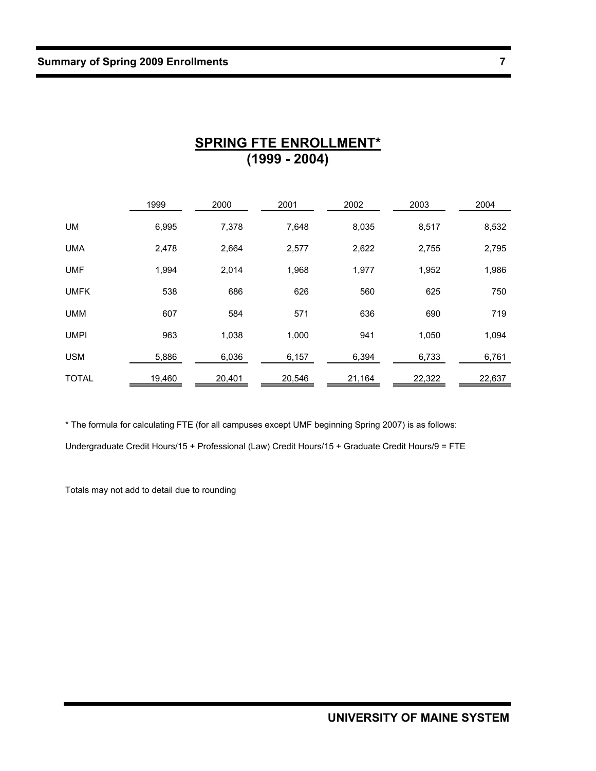|              | 1999   | 2000   | 2001   | 2002   | 2003   | 2004   |
|--------------|--------|--------|--------|--------|--------|--------|
| UM           | 6,995  | 7,378  | 7,648  | 8,035  | 8,517  | 8,532  |
| <b>UMA</b>   | 2,478  | 2,664  | 2,577  | 2,622  | 2,755  | 2,795  |
| <b>UMF</b>   | 1,994  | 2,014  | 1,968  | 1,977  | 1,952  | 1,986  |
| <b>UMFK</b>  | 538    | 686    | 626    | 560    | 625    | 750    |
| <b>UMM</b>   | 607    | 584    | 571    | 636    | 690    | 719    |
| <b>UMPI</b>  | 963    | 1,038  | 1,000  | 941    | 1,050  | 1,094  |
| <b>USM</b>   | 5,886  | 6,036  | 6,157  | 6,394  | 6,733  | 6,761  |
| <b>TOTAL</b> | 19,460 | 20,401 | 20,546 | 21,164 | 22,322 | 22,637 |

#### **SPRING FTE ENROLLMENT\* (1999 - 2004)**

\* The formula for calculating FTE (for all campuses except UMF beginning Spring 2007) is as follows:

Undergraduate Credit Hours/15 + Professional (Law) Credit Hours/15 + Graduate Credit Hours/9 = FTE

Totals may not add to detail due to rounding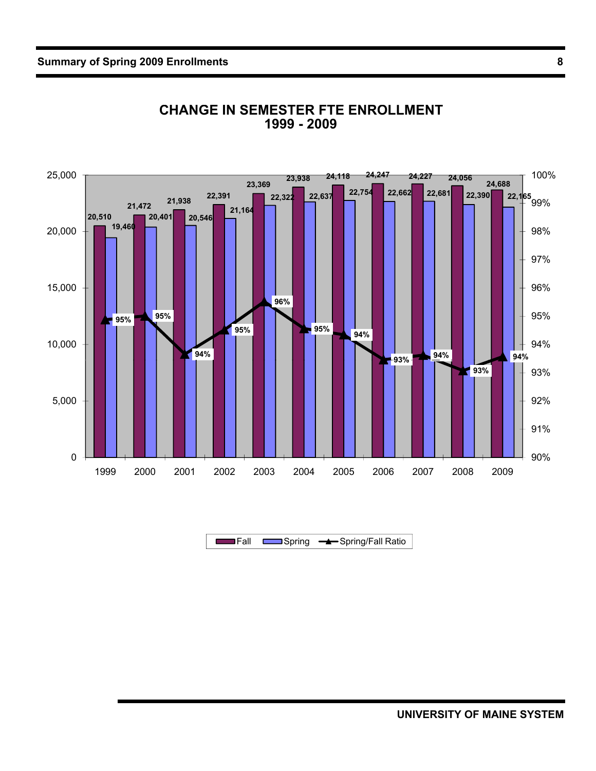

#### **CHANGE IN SEMESTER FTE ENROLLMENT 1999 - 2009**

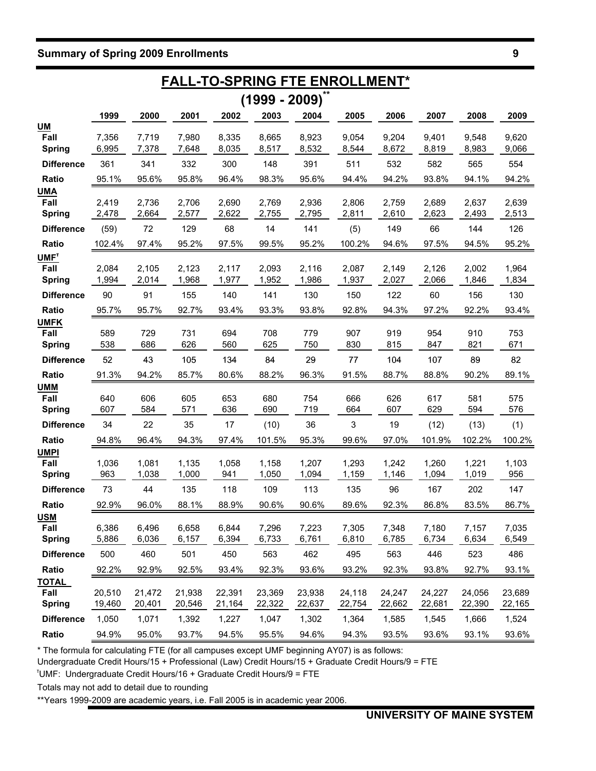|                                           |                  | <b>FALL-TO-SPRING FTE ENROLLMENT*</b> |                  |                  |                  |                  |                  |                  |                  |                  |                  |
|-------------------------------------------|------------------|---------------------------------------|------------------|------------------|------------------|------------------|------------------|------------------|------------------|------------------|------------------|
|                                           |                  |                                       |                  |                  | $(1999 - 2009)$  |                  |                  |                  |                  |                  |                  |
|                                           | 1999             | 2000                                  | 2001             | 2002             | 2003             | 2004             | 2005             | 2006             | 2007             | 2008             | 2009             |
| <u>UM</u><br>Fall<br><b>Spring</b>        | 7,356<br>6,995   | 7,719<br>7,378                        | 7,980<br>7,648   | 8,335<br>8,035   | 8,665<br>8,517   | 8,923<br>8,532   | 9,054<br>8,544   | 9,204<br>8,672   | 9,401<br>8,819   | 9,548<br>8,983   | 9,620<br>9,066   |
| <b>Difference</b>                         | 361              | 341                                   | 332              | 300              | 148              | 391              | 511              | 532              | 582              | 565              | 554              |
| Ratio                                     | 95.1%            | 95.6%                                 | 95.8%            | 96.4%            | 98.3%            | 95.6%            | 94.4%            | 94.2%            | 93.8%            | 94.1%            | 94.2%            |
| <b>UMA</b><br>Fall<br><b>Spring</b>       | 2,419<br>2,478   | 2,736<br>2,664                        | 2,706<br>2,577   | 2,690<br>2,622   | 2,769<br>2,755   | 2,936<br>2,795   | 2,806<br>2,811   | 2,759<br>2,610   | 2,689<br>2,623   | 2,637<br>2,493   | 2,639<br>2,513   |
| <b>Difference</b>                         | (59)             | 72                                    | 129              | 68               | 14               | 141              | (5)              | 149              | 66               | 144              | 126              |
| Ratio                                     | 102.4%           | 97.4%                                 | 95.2%            | 97.5%            | 99.5%            | 95.2%            | 100.2%           | 94.6%            | 97.5%            | 94.5%            | 95.2%            |
| UMF <sup>T</sup><br>Fall<br><b>Spring</b> | 2,084<br>1,994   | 2,105<br>2,014                        | 2,123<br>1,968   | 2,117<br>1,977   | 2,093<br>1,952   | 2,116<br>1,986   | 2,087<br>1,937   | 2,149<br>2,027   | 2,126<br>2,066   | 2,002<br>1,846   | 1,964<br>1,834   |
| <b>Difference</b>                         | 90               | 91                                    | 155              | 140              | 141              | 130              | 150              | 122              | 60               | 156              | 130              |
| Ratio                                     | 95.7%            | 95.7%                                 | 92.7%            | 93.4%            | 93.3%            | 93.8%            | 92.8%            | 94.3%            | 97.2%            | 92.2%            | 93.4%            |
| <b>UMFK</b><br>Fall<br><b>Spring</b>      | 589<br>538       | 729<br>686                            | 731<br>626       | 694<br>560       | 708<br>625       | 779<br>750       | 907<br>830       | 919<br>815       | 954<br>847       | 910<br>821       | 753<br>671       |
| <b>Difference</b>                         | 52               | 43                                    | 105              | 134              | 84               | 29               | 77               | 104              | 107              | 89               | 82               |
| Ratio                                     | 91.3%            | 94.2%                                 | 85.7%            | 80.6%            | 88.2%            | 96.3%            | 91.5%            | 88.7%            | 88.8%            | 90.2%            | 89.1%            |
| <b>UMM</b><br>Fall<br><b>Spring</b>       | 640<br>607       | 606<br>584                            | 605<br>571       | 653<br>636       | 680<br>690       | 754<br>719       | 666<br>664       | 626<br>607       | 617<br>629       | 581<br>594       | 575<br>576       |
| <b>Difference</b>                         | 34               | 22                                    | 35               | 17               | (10)             | 36               | 3                | 19               | (12)             | (13)             | (1)              |
| Ratio                                     | 94.8%            | 96.4%                                 | 94.3%            | 97.4%            | 101.5%           | 95.3%            | 99.6%            | 97.0%            | 101.9%           | 102.2%           | 100.2%           |
| <b>UMPI</b><br>Fall<br><b>Spring</b>      | 1,036<br>963     | 1,081<br>1,038                        | 1,135<br>1,000   | 1,058<br>941     | 1,158<br>1,050   | 1,207<br>1,094   | 1,293<br>1,159   | 1,242<br>1,146   | 1,260<br>1,094   | 1,221<br>1,019   | 1,103<br>956     |
| <b>Difference</b>                         | 73               | 44                                    | 135              | 118              | 109              | 113              | 135              | 96               | 167              | 202              | 147              |
| Ratio                                     | 92.9%            | 96.0%                                 | 88.1%            | 88.9%            | 90.6%            | 90.6%            | 89.6%            | 92.3%            | 86.8%            | 83.5%            | 86.7%            |
| <b>USM</b><br>Fall<br><b>Spring</b>       | 6,386<br>5,886   | 6,496<br>6,036                        | 6,658<br>6,157   | 6,844<br>6,394   | 7,296<br>6,733   | 7,223<br>6,761   | 7,305<br>6,810   | 7,348<br>6,785   | 7,180<br>6,734   | 7,157<br>6,634   | 7,035<br>6,549   |
| <b>Difference</b>                         | 500              | 460                                   | 501              | 450              | 563              | 462              | 495              | 563              | 446              | 523              | 486              |
| Ratio                                     | 92.2%            | 92.9%                                 | 92.5%            | 93.4%            | 92.3%            | 93.6%            | 93.2%            | 92.3%            | 93.8%            | 92.7%            | 93.1%            |
| <u>TOTAL</u><br>Fall<br><b>Spring</b>     | 20,510<br>19,460 | 21,472<br>20,401                      | 21,938<br>20,546 | 22,391<br>21,164 | 23,369<br>22,322 | 23,938<br>22,637 | 24,118<br>22,754 | 24,247<br>22,662 | 24,227<br>22,681 | 24,056<br>22,390 | 23,689<br>22,165 |
| <b>Difference</b>                         | 1,050            | 1,071                                 | 1,392            | 1,227            | 1,047            | 1,302            | 1,364            | 1,585            | 1,545            | 1,666            | 1,524            |
| Ratio                                     | 94.9%            | 95.0%                                 | 93.7%            | 94.5%            | 95.5%            | 94.6%            | 94.3%            | 93.5%            | 93.6%            | 93.1%            | 93.6%            |

\* The formula for calculating FTE (for all campuses except UMF beginning AY07) is as follows:

Undergraduate Credit Hours/15 + Professional (Law) Credit Hours/15 + Graduate Credit Hours/9 = FTE

<sup>T</sup>UMF: Undergraduate Credit Hours/16 + Graduate Credit Hours/9 = FTE

Totals may not add to detail due to rounding

\*\*Years 1999-2009 are academic years, i.e. Fall 2005 is in academic year 2006.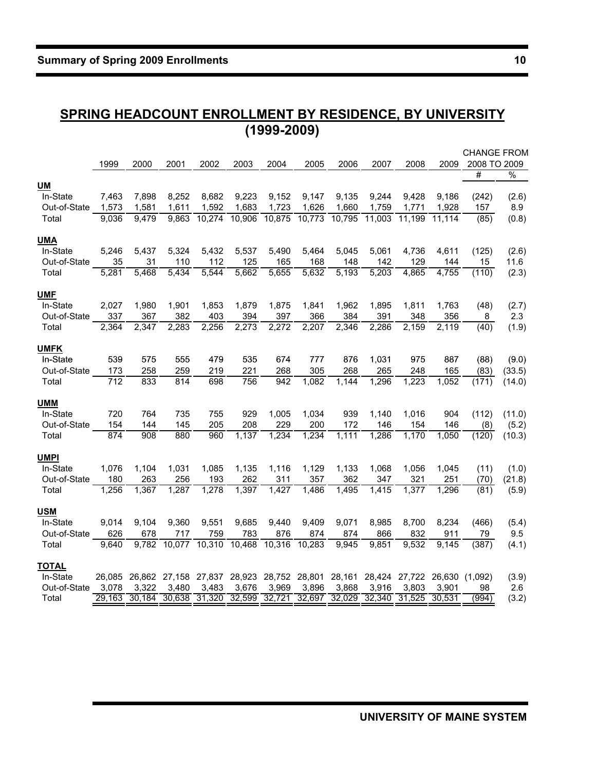### **SPRING HEADCOUNT ENROLLMENT BY RESIDENCE, BY UNIVERSITY (1999-2009)**

|              |                    |                    |        |                      |               |        |               |        |        |        |                              | <b>CHANGE FROM</b> |        |
|--------------|--------------------|--------------------|--------|----------------------|---------------|--------|---------------|--------|--------|--------|------------------------------|--------------------|--------|
|              | 1999               | 2000               | 2001   | 2002                 | 2003          | 2004   | 2005          | 2006   | 2007   | 2008   | 2009                         | 2008 TO 2009       |        |
|              |                    |                    |        |                      |               |        |               |        |        |        |                              | #                  | $\%$   |
| <u>UM</u>    |                    |                    |        |                      |               |        |               |        |        |        |                              |                    |        |
| In-State     | 7,463              | 7,898              | 8,252  | 8,682                | 9,223         | 9,152  | 9,147         | 9,135  | 9,244  | 9,428  | 9,186                        | (242)              | (2.6)  |
| Out-of-State | 1,573              | 1,581              | 1,611  | 1,592                | 1,683         | 1,723  | 1,626         | 1,660  | 1,759  | 1,771  | 1,928                        | 157                | 8.9    |
| Total        | 9,036              | 9,479              | 9,863  | 10,274               | 10,906        | 10,875 | 10,773        | 10,795 | 11,003 | 11,199 | 11,114                       | (85)               | (0.8)  |
| <u>UMA</u>   |                    |                    |        |                      |               |        |               |        |        |        |                              |                    |        |
| In-State     | 5,246              | 5,437              | 5,324  | 5,432                | 5,537         | 5,490  | 5,464         | 5,045  | 5,061  | 4,736  | 4,611                        | (125)              | (2.6)  |
| Out-of-State | 35                 | 31                 | 110    | 112                  | 125           | 165    | 168           | 148    | 142    | 129    | 144                          | 15                 | 11.6   |
| Total        | 5,281              | 5,468              | 5,434  | 5,544                | 5,662         | 5,655  | 5,632         | 5,193  | 5,203  | 4,865  | 4,755                        | (110)              | (2.3)  |
| <b>UMF</b>   |                    |                    |        |                      |               |        |               |        |        |        |                              |                    |        |
| In-State     | 2,027              | 1,980              | 1,901  | 1,853                | 1,879         | 1,875  | 1,841         | 1,962  | 1,895  | 1,811  | 1,763                        | (48)               | (2.7)  |
| Out-of-State | 337                | 367                | 382    | 403                  | 394           | 397    | 366           | 384    | 391    | 348    | 356                          | 8                  | 2.3    |
| Total        | $\overline{2,}364$ | $\overline{2,}347$ | 2,283  | 2,256                | 2,273         | 2,272  | 2,207         | 2,346  | 2,286  | 2,159  | $\overline{2,119}$           | (40)               | (1.9)  |
| <b>UMFK</b>  |                    |                    |        |                      |               |        |               |        |        |        |                              |                    |        |
| In-State     | 539                | 575                | 555    | 479                  | 535           | 674    | 777           | 876    | 1,031  | 975    | 887                          | (88)               | (9.0)  |
| Out-of-State | 173                | 258                | 259    | 219                  | 221           | 268    | 305           | 268    | 265    | 248    | 165                          | (83)               | (33.5) |
| Total        | 712                | 833                | 814    | 698                  | 756           | 942    | 1,082         | 1,144  | 1,296  | 1,223  | 1,052                        | (171)              | (14.0) |
| <u>UMM</u>   |                    |                    |        |                      |               |        |               |        |        |        |                              |                    |        |
| In-State     | 720                | 764                | 735    | 755                  | 929           | 1,005  | 1,034         | 939    | 1,140  | 1,016  | 904                          | (112)              | (11.0) |
| Out-of-State | 154                | 144                | 145    | 205                  | 208           | 229    | 200           | 172    | 146    | 154    | 146                          | (8)                | (5.2)  |
| Total        | 874                | 908                | 880    | 960                  | 1,137         | 1,234  | 1,234         | 1,111  | 1,286  | 1,170  | 1,050                        | (120)              | (10.3) |
| <u>UMPI</u>  |                    |                    |        |                      |               |        |               |        |        |        |                              |                    |        |
| In-State     | 1,076              | 1,104              | 1,031  | 1,085                | 1,135         | 1,116  | 1,129         | 1,133  | 1,068  | 1,056  | 1,045                        | (11)               | (1.0)  |
| Out-of-State | 180                | 263                | 256    | 193                  | 262           | 311    | 357           | 362    | 347    | 321    | 251                          | (70)               | (21.8) |
| Total        | 1,256              | 1,367              | 1,287  | 1,278                | 1,397         | 1,427  | 1,486         | 1,495  | 1,415  | 1,377  | 1,296                        | (81)               | (5.9)  |
| USM          |                    |                    |        |                      |               |        |               |        |        |        |                              |                    |        |
| In-State     | 9,014              | 9,104              | 9,360  | 9,551                | 9,685         | 9,440  | 9,409         | 9,071  | 8,985  | 8,700  | 8,234                        | (466)              | (5.4)  |
| Out-of-State | 626                | 678                | 717    | 759                  | 783           | 876    | 874           | 874    | 866    | 832    | 911                          | 79                 | 9.5    |
| Total        | 9.640              | 9.782              |        | 10,077 10,310 10,468 |               | 10,316 | 10,283        | 9.945  | 9,851  | 9,532  | 9.145                        | (387)              | (4.1)  |
| <b>TOTAL</b> |                    |                    |        |                      |               |        |               |        |        |        |                              |                    |        |
| In-State     | 26,085             | 26,862             | 27,158 |                      | 27,837 28,923 |        | 28,752 28,801 | 28,161 |        |        | 28,424 27,722 26,630 (1,092) |                    | (3.9)  |
| Out-of-State | 3,078              | 3,322              | 3,480  | 3,483                | 3,676         | 3,969  | 3,896         | 3,868  | 3,916  | 3,803  | 3,901                        | 98                 | 2.6    |
| Total        | 29.163             | 30,184             | 30,638 | 31,320               | 32,599        | 32,721 | 32,697        | 32,029 | 32,340 | 31,525 | 30,531                       | (994)              | (3.2)  |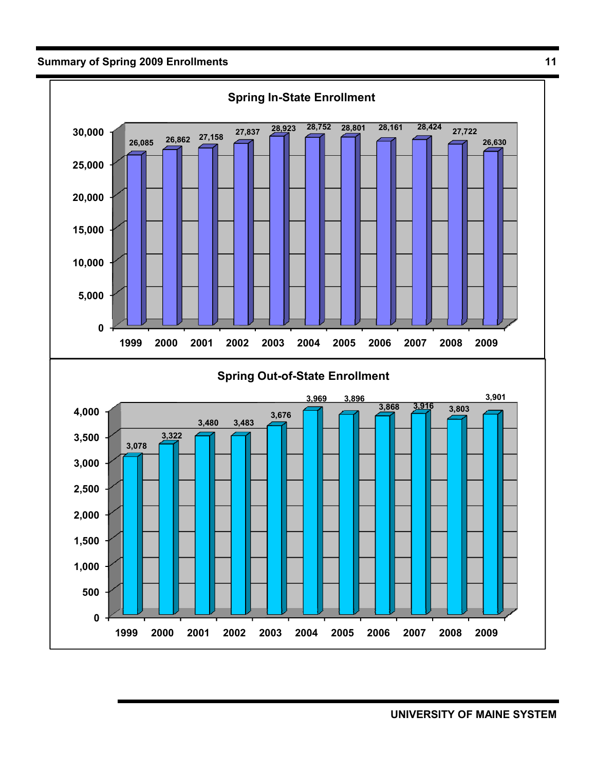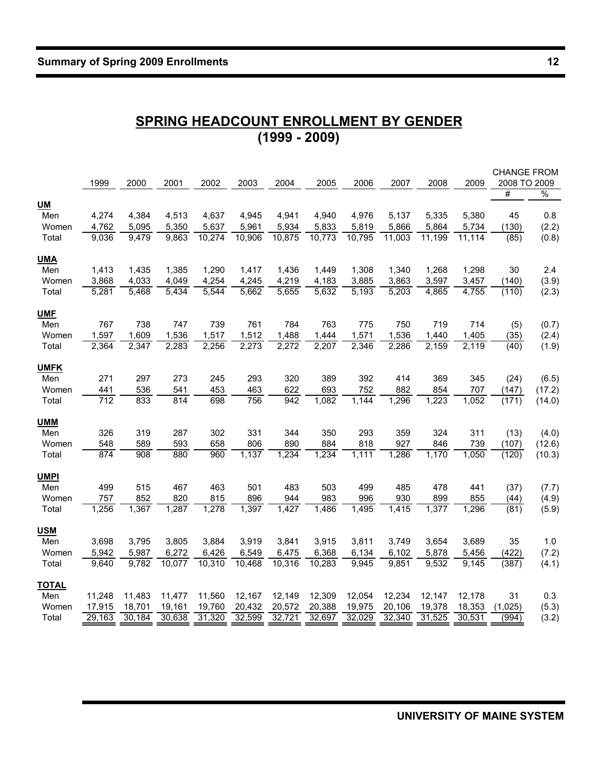# **SPRING HEADCOUNT ENROLLMENT BY GENDER (1999 - 2009)**

|              | 1999   | 2000   | 2001   | 2002   | 2003   | 2004   | 2005   | 2006   | 2007   | 2008   | 2009    | <b>CHANGE FROM</b><br>2008 TO 2009 |               |
|--------------|--------|--------|--------|--------|--------|--------|--------|--------|--------|--------|---------|------------------------------------|---------------|
|              |        |        |        |        |        |        |        |        |        |        |         | #                                  | $\frac{0}{0}$ |
| <b>UM</b>    |        |        |        |        |        |        |        |        |        |        |         |                                    |               |
| Men          | 4,274  | 4,384  | 4,513  | 4,637  | 4,945  | 4,941  | 4,940  | 4,976  | 5,137  | 5,335  | 5,380   | 45                                 | 0.8           |
| Women        | 4,762  | 5,095  | 5,350  | 5,637  | 5,961  | 5,934  | 5,833  | 5,819  | 5,866  | 5,864  | 5,734   | (130)                              | (2.2)         |
| Total        | 9,036  | 9,479  | 9,863  | 10,274 | 10,906 | 10,875 | 10,773 | 10,795 | 11,003 | 11,199 | 11, 114 | (85)                               | (0.8)         |
| <b>UMA</b>   |        |        |        |        |        |        |        |        |        |        |         |                                    |               |
| Men          | 1,413  | 1,435  | 1,385  | 1,290  | 1,417  | 1,436  | 1,449  | 1,308  | 1,340  | 1,268  | 1,298   | 30                                 | 2.4           |
| Women        | 3,868  | 4,033  | 4,049  | 4,254  | 4,245  | 4,219  | 4,183  | 3,885  | 3,863  | 3,597  | 3,457   | (140)                              | (3.9)         |
| Total        | 5,281  | 5,468  | 5,434  | 5,544  | 5,662  | 5,655  | 5,632  | 5,193  | 5,203  | 4,865  | 4,755   | (110)                              | (2.3)         |
| <b>UMF</b>   |        |        |        |        |        |        |        |        |        |        |         |                                    |               |
| Men          | 767    | 738    | 747    | 739    | 761    | 784    | 763    | 775    | 750    | 719    | 714     | (5)                                | (0.7)         |
| Women        | 1,597  | 1,609  | 1,536  | 1,517  | 1,512  | 1,488  | 1,444  | 1,571  | 1,536  | 1,440  | 1,405   | (35)                               | (2.4)         |
| Total        | 2,364  | 2,347  | 2,283  | 2,256  | 2,273  | 2,272  | 2,207  | 2,346  | 2,286  | 2,159  | 2,119   | (40)                               | (1.9)         |
| <b>UMFK</b>  |        |        |        |        |        |        |        |        |        |        |         |                                    |               |
| Men          | 271    | 297    | 273    | 245    | 293    | 320    | 389    | 392    | 414    | 369    | 345     | (24)                               | (6.5)         |
| Women        | 441    | 536    | 541    | 453    | 463    | 622    | 693    | 752    | 882    | 854    | 707     | (147)                              | (17.2)        |
| Total        | 712    | 833    | 814    | 698    | 756    | 942    | 1,082  | 1,144  | 1,296  | 1,223  | 1,052   | (171)                              | (14.0)        |
| <b>UMM</b>   |        |        |        |        |        |        |        |        |        |        |         |                                    |               |
| Men          | 326    | 319    | 287    | 302    | 331    | 344    | 350    | 293    | 359    | 324    | 311     | (13)                               | (4.0)         |
| Women        | 548    | 589    | 593    | 658    | 806    | 890    | 884    | 818    | 927    | 846    | 739     | (107)                              | (12.6)        |
| Total        | 874    | 908    | 880    | 960    | 1,137  | 1,234  | 1,234  | 1,111  | 1,286  | 1,170  | 1,050   | (120)                              | (10.3)        |
| <b>UMPI</b>  |        |        |        |        |        |        |        |        |        |        |         |                                    |               |
| Men          | 499    | 515    | 467    | 463    | 501    | 483    | 503    | 499    | 485    | 478    | 441     | (37)                               | (7.7)         |
| Women        | 757    | 852    | 820    | 815    | 896    | 944    | 983    | 996    | 930    | 899    | 855     | (44)                               | (4.9)         |
| Total        | 1,256  | 1,367  | 1,287  | 1,278  | 1,397  | 1,427  | 1,486  | 1,495  | 1,415  | 1,377  | 1,296   | (81)                               | (5.9)         |
| <b>USM</b>   |        |        |        |        |        |        |        |        |        |        |         |                                    |               |
| Men          | 3,698  | 3,795  | 3,805  | 3,884  | 3,919  | 3,841  | 3,915  | 3,811  | 3,749  | 3,654  | 3,689   | 35                                 | 1.0           |
| Women        | 5,942  | 5,987  | 6,272  | 6,426  | 6,549  | 6,475  | 6,368  | 6,134  | 6,102  | 5,878  | 5,456   | (422)                              | (7.2)         |
| Total        | 9,640  | 9,782  | 10,077 | 10,310 | 10,468 | 10,316 | 10,283 | 9,945  | 9,851  | 9,532  | 9,145   | (387)                              | (4.1)         |
| <b>TOTAL</b> |        |        |        |        |        |        |        |        |        |        |         |                                    |               |
| Men          | 11,248 | 11,483 | 11,477 | 11,560 | 12,167 | 12,149 | 12,309 | 12,054 | 12,234 | 12,147 | 12,178  | 31                                 | 0.3           |
| Women        | 17,915 | 18,701 | 19,161 | 19,760 | 20,432 | 20,572 | 20,388 | 19,975 | 20,106 | 19,378 | 18,353  | (1,025)                            | (5.3)         |
| Total        | 29,163 | 30,184 | 30,638 | 31,320 | 32,599 | 32,721 | 32,697 | 32,029 | 32,340 | 31,525 | 30,531  | (994)                              | (3.2)         |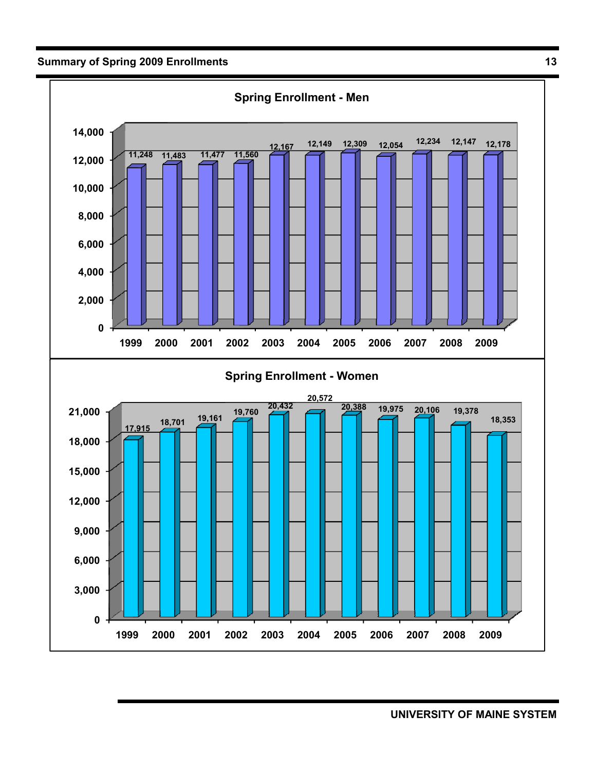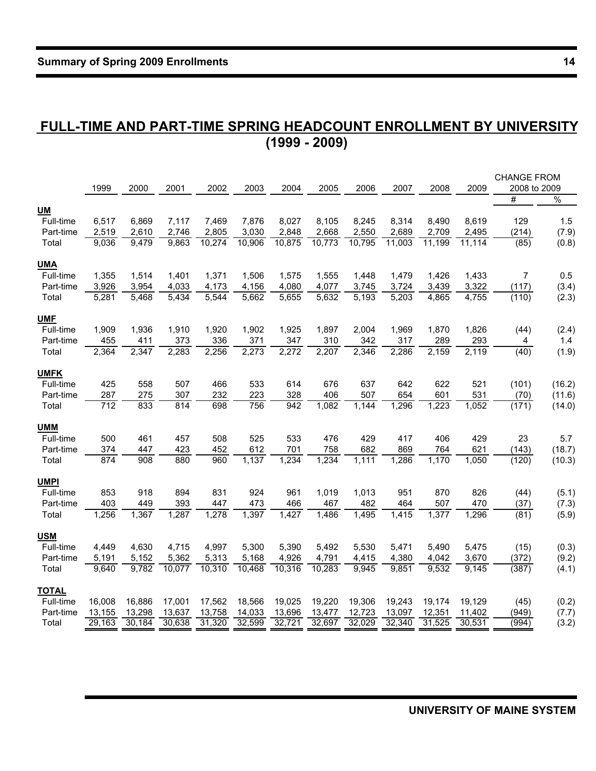### **FULL-TIME AND PART-TIME SPRING HEADCOUNT ENROLLMENT BY UNIVERSITY (1999 - 2009)**

|              |        |        |        |        |        |        |        |        |        |        |        | <b>CHANGE FROM</b> |               |
|--------------|--------|--------|--------|--------|--------|--------|--------|--------|--------|--------|--------|--------------------|---------------|
|              | 1999   | 2000   | 2001   | 2002   | 2003   | 2004   | 2005   | 2006   | 2007   | 2008   | 2009   | 2008 to 2009       |               |
|              |        |        |        |        |        |        |        |        |        |        |        | #                  | $\frac{9}{6}$ |
| <b>UM</b>    |        |        |        |        |        |        |        |        |        |        |        |                    |               |
| Full-time    | 6,517  | 6,869  | 7,117  | 7,469  | 7,876  | 8,027  | 8,105  | 8,245  | 8,314  | 8,490  | 8,619  | 129                | 1.5           |
| Part-time    | 2,519  | 2,610  | 2,746  | 2,805  | 3,030  | 2,848  | 2,668  | 2,550  | 2,689  | 2,709  | 2,495  | (214)              | (7.9)         |
| Total        | 9,036  | 9,479  | 9,863  | 10,274 | 10,906 | 10,875 | 10,773 | 10,795 | 11,003 | 11,199 | 11,114 | (85)               | (0.8)         |
| <b>UMA</b>   |        |        |        |        |        |        |        |        |        |        |        |                    |               |
| Full-time    | 1,355  | 1,514  | 1,401  | 1,371  | 1,506  | 1,575  | 1,555  | 1,448  | 1,479  | 1,426  | 1,433  | $\overline{7}$     | 0.5           |
| Part-time    | 3,926  | 3,954  | 4,033  | 4,173  | 4,156  | 4,080  | 4,077  | 3,745  | 3,724  | 3,439  | 3,322  | (117)              | (3.4)         |
| Total        | 5,281  | 5,468  | 5,434  | 5,544  | 5,662  | 5,655  | 5,632  | 5,193  | 5,203  | 4,865  | 4,755  | (110)              | (2.3)         |
| <b>UMF</b>   |        |        |        |        |        |        |        |        |        |        |        |                    |               |
| Full-time    | 1,909  | 1,936  | 1,910  | 1,920  | 1,902  | 1,925  | 1,897  | 2,004  | 1,969  | 1,870  | 1,826  | (44)               | (2.4)         |
| Part-time    | 455    | 411    | 373    | 336    | 371    | 347    | 310    | 342    | 317    | 289    | 293    | 4                  | 1.4           |
| Total        | 2,364  | 2,347  | 2,283  | 2,256  | 2,273  | 2,272  | 2,207  | 2,346  | 2,286  | 2,159  | 2,119  | (40)               | (1.9)         |
| <b>UMFK</b>  |        |        |        |        |        |        |        |        |        |        |        |                    |               |
| Full-time    | 425    | 558    | 507    | 466    | 533    | 614    | 676    | 637    | 642    | 622    | 521    | (101)              | (16.2)        |
| Part-time    | 287    | 275    | 307    | 232    | 223    | 328    | 406    | 507    | 654    | 601    | 531    | (70)               | (11.6)        |
| Total        | 712    | 833    | 814    | 698    | 756    | 942    | 1,082  | 1,144  | 1,296  | 1,223  | 1,052  | (171)              | (14.0)        |
| <b>UMM</b>   |        |        |        |        |        |        |        |        |        |        |        |                    |               |
| Full-time    | 500    | 461    | 457    | 508    | 525    | 533    | 476    | 429    | 417    | 406    | 429    | 23                 | 5.7           |
| Part-time    | 374    | 447    | 423    | 452    | 612    | 701    | 758    | 682    | 869    | 764    | 621    | (143)              | (18.7)        |
| Total        | 874    | 908    | 880    | 960    | 1,137  | 1,234  | 1,234  | 1,111  | 1,286  | 1,170  | 1,050  | (120)              | (10.3)        |
| <b>UMPI</b>  |        |        |        |        |        |        |        |        |        |        |        |                    |               |
| Full-time    | 853    | 918    | 894    | 831    | 924    | 961    | 1,019  | 1,013  | 951    | 870    | 826    | (44)               | (5.1)         |
| Part-time    | 403    | 449    | 393    | 447    | 473    | 466    | 467    | 482    | 464    | 507    | 470    | (37)               | (7.3)         |
| Total        | 1,256  | 1,367  | 1,287  | 1,278  | 1,397  | 1,427  | 1,486  | 1,495  | 1,415  | 1,377  | 1,296  | (81)               | (5.9)         |
| <b>USM</b>   |        |        |        |        |        |        |        |        |        |        |        |                    |               |
| Full-time    | 4,449  | 4,630  | 4,715  | 4,997  | 5,300  | 5,390  | 5,492  | 5,530  | 5,471  | 5,490  | 5,475  | (15)               | (0.3)         |
| Part-time    | 5,191  | 5,152  | 5,362  | 5,313  | 5,168  | 4,926  | 4,791  | 4,415  | 4,380  | 4,042  | 3,670  | (372)              | (9.2)         |
| Total        | 9.640  | 9,782  | 10,077 | 10,310 | 10,468 | 10,316 | 10,283 | 9,945  | 9,851  | 9,532  | 9,145  | (387)              | (4.1)         |
| <b>TOTAL</b> |        |        |        |        |        |        |        |        |        |        |        |                    |               |
| Full-time    | 16,008 | 16,886 | 17,001 | 17,562 | 18,566 | 19,025 | 19,220 | 19,306 | 19,243 | 19,174 | 19,129 | (45)               | (0.2)         |
| Part-time    | 13,155 | 13,298 | 13,637 | 13,758 | 14,033 | 13,696 | 13,477 | 12,723 | 13,097 | 12,351 | 11,402 | (949)              | (7.7)         |
| Total        | 29,163 | 30,184 | 30,638 | 31,320 | 32,599 | 32,721 | 32,697 | 32,029 | 32,340 | 31,525 | 30,531 | (994)              | (3.2)         |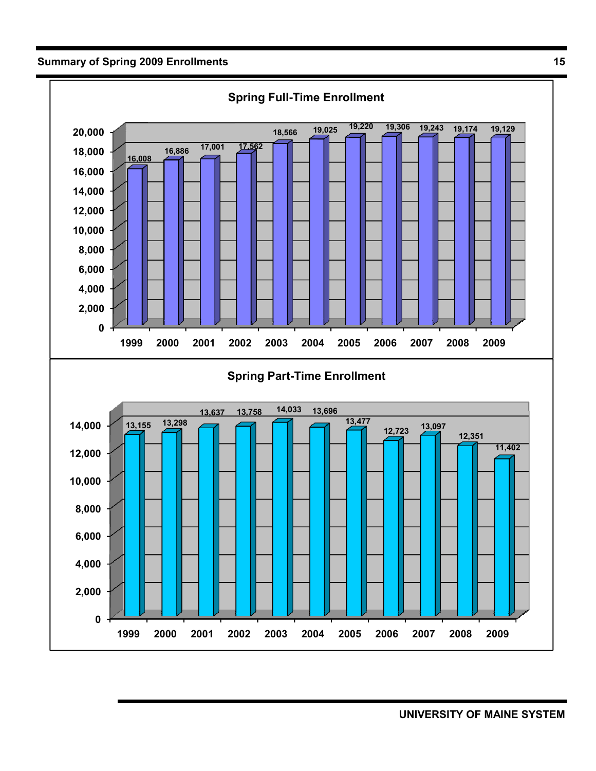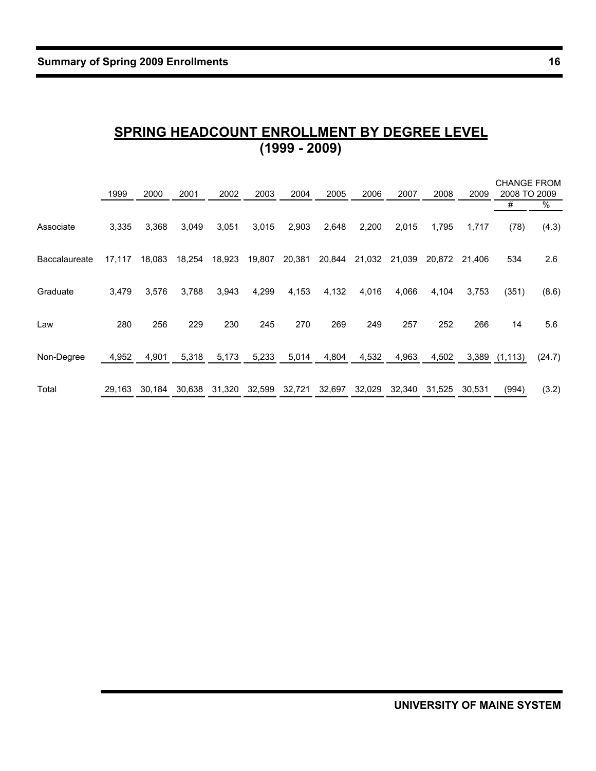# **SPRING HEADCOUNT ENROLLMENT BY DEGREE LEVEL (1999 - 2009)**

|               | 1999   | 2000   | 2001   | 2002   | 2003   | 2004   | 2005   | 2006   | 2007   | 2008   | 2009   | <b>CHANGE FROM</b><br>2008 TO 2009 |        |
|---------------|--------|--------|--------|--------|--------|--------|--------|--------|--------|--------|--------|------------------------------------|--------|
|               |        |        |        |        |        |        |        |        |        |        |        | #                                  | %      |
| Associate     | 3,335  | 3,368  | 3,049  | 3,051  | 3,015  | 2,903  | 2,648  | 2,200  | 2,015  | 1,795  | 1,717  | (78)                               | (4.3)  |
| Baccalaureate | 17.117 | 18,083 | 18,254 | 18,923 | 19,807 | 20,381 | 20,844 | 21,032 | 21.039 | 20.872 | 21.406 | 534                                | 2.6    |
| Graduate      | 3,479  | 3,576  | 3,788  | 3,943  | 4,299  | 4,153  | 4,132  | 4,016  | 4,066  | 4,104  | 3,753  | (351)                              | (8.6)  |
| Law           | 280    | 256    | 229    | 230    | 245    | 270    | 269    | 249    | 257    | 252    | 266    | 14                                 | 5.6    |
| Non-Degree    | 4,952  | 4,901  | 5,318  | 5,173  | 5,233  | 5,014  | 4,804  | 4,532  | 4,963  | 4,502  |        | 3,389 (1,113)                      | (24.7) |
| Total         | 29.163 | 30.184 | 30,638 | 31,320 | 32,599 | 32,721 | 32,697 | 32.029 | 32.340 | 31.525 | 30,531 | (994)                              | (3.2)  |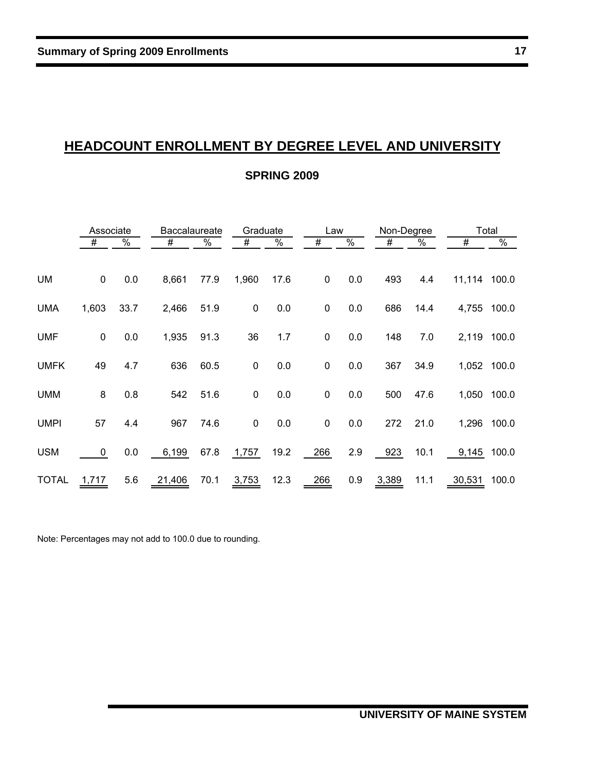# **HEADCOUNT ENROLLMENT BY DEGREE LEVEL AND UNIVERSITY**

#### **SPRING 2009**

|             | Associate   |               | <b>Baccalaureate</b> |      | Graduate    |               | Law         |               | Non-Degree |               |                 | Total         |
|-------------|-------------|---------------|----------------------|------|-------------|---------------|-------------|---------------|------------|---------------|-----------------|---------------|
|             | #           | $\frac{8}{6}$ | #                    | %    | #           | $\frac{1}{2}$ | #           | $\frac{0}{6}$ | #          | $\frac{1}{6}$ | $\overline{\#}$ | $\frac{0}{6}$ |
|             |             |               |                      |      |             |               |             |               |            |               |                 |               |
| UM          | $\mathbf 0$ | 0.0           | 8,661                | 77.9 | 1,960       | 17.6          | $\mathbf 0$ | 0.0           | 493        | 4.4           | 11,114 100.0    |               |
| <b>UMA</b>  | 1,603       | 33.7          | 2,466                | 51.9 | $\mathbf 0$ | 0.0           | $\pmb{0}$   | 0.0           | 686        | 14.4          | 4,755 100.0     |               |
| <b>UMF</b>  | $\mathbf 0$ | 0.0           | 1,935                | 91.3 | 36          | 1.7           | $\mathbf 0$ | 0.0           | 148        | 7.0           | 2,119 100.0     |               |
| <b>UMFK</b> | 49          | 4.7           | 636                  | 60.5 | $\mathbf 0$ | 0.0           | 0           | 0.0           | 367        | 34.9          | 1,052 100.0     |               |
| <b>UMM</b>  | 8           | 0.8           | 542                  | 51.6 | $\mathbf 0$ | 0.0           | 0           | 0.0           | 500        | 47.6          | 1,050 100.0     |               |
| <b>UMPI</b> | 57          | 4.4           | 967                  | 74.6 | $\mathbf 0$ | 0.0           | 0           | 0.0           | 272        | 21.0          | 1,296 100.0     |               |
| <b>USM</b>  | 0           | 0.0           | 6,199                | 67.8 | 1,757       | 19.2          | 266         | 2.9           | 923        | 10.1          | 9,145 100.0     |               |
| TOTAL       | 1,717       | 5.6           | 21,406               | 70.1 | 3,753       | 12.3          | 266         | 0.9           | 3,389      | 11.1          | 30,531 100.0    |               |

Note: Percentages may not add to 100.0 due to rounding.